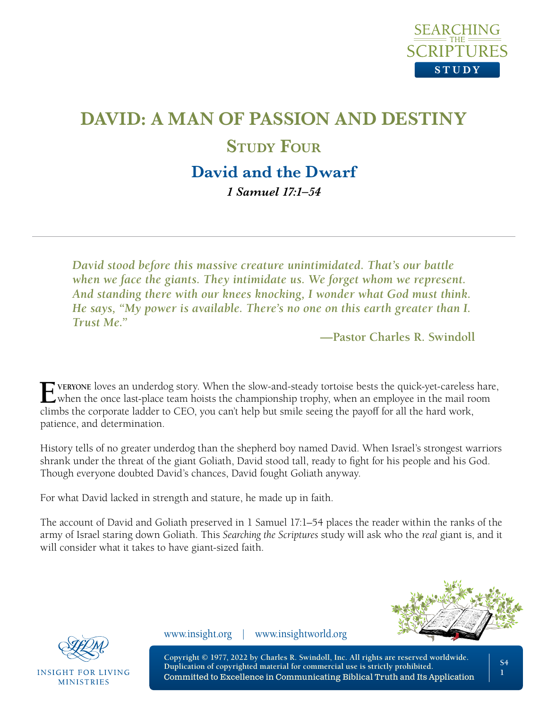

# **DAVID: A MAN OF PASSION AND DESTINY STUDY FOUR David and the Dwarf**

*1 Samuel 17:1–54*

*David stood before this massive creature unintimidated. That's our battle when we face the giants. They intimidate us. We forget whom we represent. And standing there with our knees knocking, I wonder what God must think. He says, "My power is available. There's no one on this earth greater than I. Trust Me."*

**—Pastor Charles R. Swindoll**

**Everyone** loves an underdog story. When the slow-and-steady tortoise bests the quick-yet-careless hare, when the once last-place team hoists the championship trophy, when an employee in the mail room climbs the corporate ladder to CEO, you can't help but smile seeing the payoff for all the hard work, patience, and determination.

History tells of no greater underdog than the shepherd boy named David. When Israel's strongest warriors shrank under the threat of the giant Goliath, David stood tall, ready to fight for his people and his God. Though everyone doubted David's chances, David fought Goliath anyway.

For what David lacked in strength and stature, he made up in faith.

The account of David and Goliath preserved in 1 Samuel 17:1–54 places the reader within the ranks of the army of Israel staring down Goliath. This *Searching the Scriptures* study will ask who the *real* giant is, and it will consider what it takes to have giant-sized faith.





**INSIGHT FOR LIVING MINISTRIES** 

www.insight.org | www.insightworld.org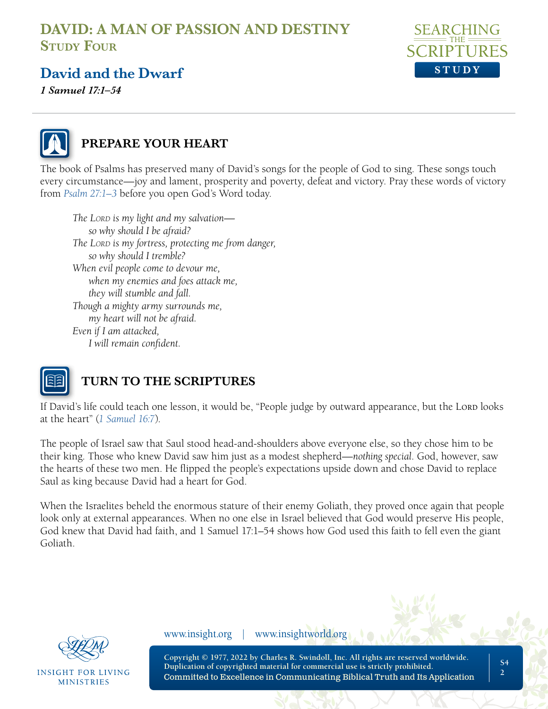

### **David and the Dwarf**

*1 Samuel 17:1–54*



### **PREPARE YOUR HEART**

The book of Psalms has preserved many of David's songs for the people of God to sing. These songs touch every circumstance—joy and lament, prosperity and poverty, defeat and victory. Pray these words of victory from *[Psalm 27:1–3](https://www.biblegateway.com/passage/?search=Psalm%2027&version=NLT;NASB1995)* before you open God's Word today.

*The Lord is my light and my salvation so why should I be afraid? The Lord is my fortress, protecting me from danger, so why should I tremble? When evil people come to devour me, when my enemies and foes attack me, they will stumble and fall. Though a mighty army surrounds me, my heart will not be afraid. Even if I am attacked, I will remain confident.*



### **TURN TO THE SCRIPTURES**

If David's life could teach one lesson, it would be, "People judge by outward appearance, but the Lord looks at the heart" (*[1 Samuel 16:7](https://www.biblegateway.com/passage/?search=1%20Samuel%2016%3A7&version=NLT;NASB1995)*).

The people of Israel saw that Saul stood head-and-shoulders above everyone else, so they chose him to be their king. Those who knew David saw him just as a modest shepherd—*nothing special*. God, however, saw the hearts of these two men. He flipped the people's expectations upside down and chose David to replace Saul as king because David had a heart for God.

When the Israelites beheld the enormous stature of their enemy Goliath, they proved once again that people look only at external appearances. When no one else in Israel believed that God would preserve His people, God knew that David had faith, and 1 Samuel 17:1–54 shows how God used this faith to fell even the giant Goliath.



INSIGHT FOR LIVING **MINISTRIES** 

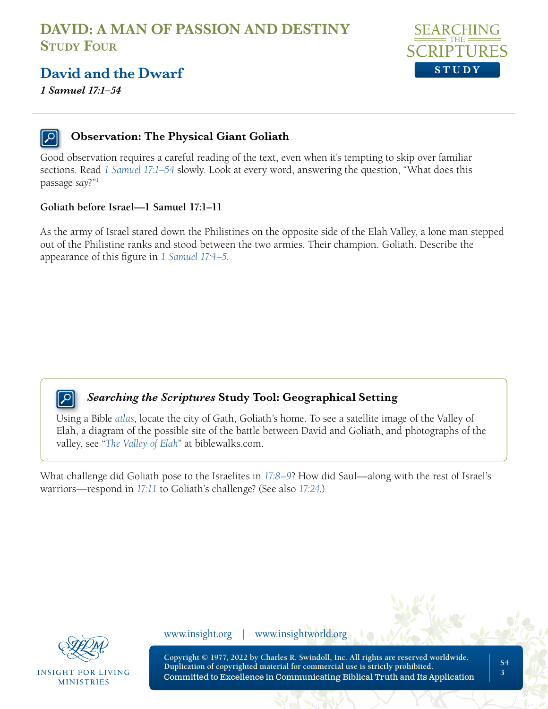

### **David and the Dwarf**

*1 Samuel 17:1–54*

#### **Observation: The Physical Giant Goliath**

Good observation requires a careful reading of the text, even when it's tempting to skip over familiar sections. Read *[1 Samuel 17:1–54](https://www.biblegateway.com/passage/?search=1+Samuel+17%3A1%E2%80%9354+&version=NLT;NASB1995)* slowly. Look at every word, answering the question, "What does this passage *say*?"1

#### **Goliath before Israel—1 Samuel 17:1–11**

As the army of Israel stared down the Philistines on the opposite side of the Elah Valley, a lone man stepped out of the Philistine ranks and stood between the two armies. Their champion. Goliath. Describe the appearance of this figure in *[1 Samuel 17:4–5](https://www.biblegateway.com/passage/?search=1+Samuel+17%3A4%E2%80%935&version=NLT;NASB1995)*.



#### *Searching the Scriptures* **Study Tool: Geographical Setting**

Using a Bible *[atlas](https://insightforliving.swncdn.com/docs/ifl-usa/content/ascendio/maps/NLT_maps_from_Tyndale6.pdf)*, locate the city of Gath, Goliath's home. To see a satellite image of the Valley of Elah, a diagram of the possible site of the battle between David and Goliath, and photographs of the valley, see "*[The Valley of Elah](https://www.biblewalks.com/ElahValley)*" at biblewalks.com.

What challenge did Goliath pose to the Israelites in *[17:8–9](https://www.biblegateway.com/passage/?search=1+Samuel+17%3A8%E2%80%939&version=NLT;NASB1995)*? How did Saul—along with the rest of Israel's warriors—respond in *[17:11](https://www.biblegateway.com/passage/?search=1+Samuel+17%3A11&version=NLT;NASB1995)* to Goliath's challenge? (See also *[17:24](https://www.biblegateway.com/passage/?search=1+Samuel+17%3A24&version=NLT;NASB1995)*.)



INSIGHT FOR LIVING **MINISTRIES** 

www.insight.org | www.insightworld.org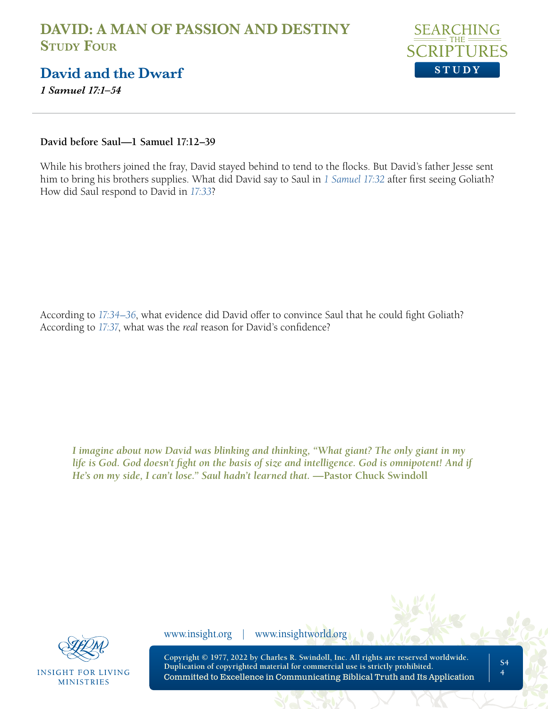

### **David and the Dwarf**

*1 Samuel 17:1–54*

**David before Saul—1 Samuel 17:12–39**

While his brothers joined the fray, David stayed behind to tend to the flocks. But David's father Jesse sent him to bring his brothers supplies. What did David say to Saul in *[1 Samuel 17:32](https://www.biblegateway.com/passage/?search=1+Samuel+17%3A32&version=NLT;NASB1995)* after first seeing Goliath? How did Saul respond to David in *[17:33](https://www.biblegateway.com/passage/?search=1+Samuel+17%3A33&version=NLT;NASB1995)*?

According to *[17:34–36](https://www.biblegateway.com/passage/?search=1+Samuel+17%3A34%E2%80%9336&version=NLT;NASB1995)*, what evidence did David offer to convince Saul that he could fight Goliath? According to *[17:37](https://www.biblegateway.com/passage/?search=1+Samuel+17%3A37&version=NLT;NASB1995)*, what was the *real* reason for David's confidence?

*I imagine about now David was blinking and thinking, "What giant? The only giant in my*  life is God. God doesn't fight on the basis of size and intelligence. God is omnipotent! And if *He's on my side, I can't lose." Saul hadn't learned that.* —Pastor Chuck Swindoll



**INSIGHT FOR LIVING MINISTRIES** 

www.insight.org | www.insightworld.org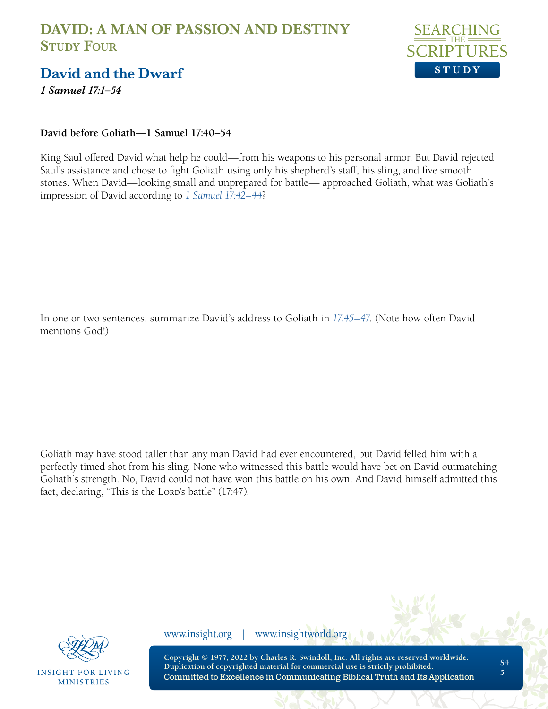

### **David and the Dwarf**

*1 Samuel 17:1–54*

#### **David before Goliath—1 Samuel 17:40–54**

King Saul offered David what help he could—from his weapons to his personal armor. But David rejected Saul's assistance and chose to fight Goliath using only his shepherd's staff, his sling, and five smooth stones. When David—looking small and unprepared for battle— approached Goliath, what was Goliath's impression of David according to *[1 Samuel 17:42–44](https://www.biblegateway.com/passage/?search=1+Samuel+17%3A42%E2%80%9344&version=NLT;NASB1995)*?

In one or two sentences, summarize David's address to Goliath in *[17:45–47](https://www.biblegateway.com/passage/?search=1+Samuel+17%3A45%E2%80%9347&version=NLT;NASB1995)*. (Note how often David mentions God!)

Goliath may have stood taller than any man David had ever encountered, but David felled him with a perfectly timed shot from his sling. None who witnessed this battle would have bet on David outmatching Goliath's strength. No, David could not have won this battle on his own. And David himself admitted this fact, declaring, "This is the Lord's battle" (17:47).



**INSIGHT FOR LIVING MINISTRIES** 

www.insight.org | www.insightworld.org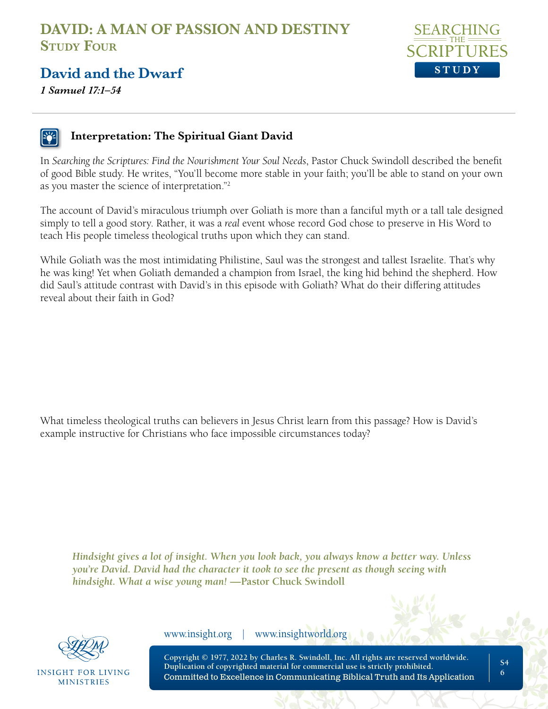

### **David and the Dwarf**

*1 Samuel 17:1–54*

#### **Interpretation: The Spiritual Giant David**

In *Searching the Scriptures: Find the Nourishment Your Soul Needs*, Pastor Chuck Swindoll described the benefit of good Bible study. He writes, "You'll become more stable in your faith; you'll be able to stand on your own as you master the science of interpretation."2

The account of David's miraculous triumph over Goliath is more than a fanciful myth or a tall tale designed simply to tell a good story. Rather, it was a *real* event whose record God chose to preserve in His Word to teach His people timeless theological truths upon which they can stand.

While Goliath was the most intimidating Philistine, Saul was the strongest and tallest Israelite. That's why he was king! Yet when Goliath demanded a champion from Israel, the king hid behind the shepherd. How did Saul's attitude contrast with David's in this episode with Goliath? What do their differing attitudes reveal about their faith in God?

What timeless theological truths can believers in Jesus Christ learn from this passage? How is David's example instructive for Christians who face impossible circumstances today?

*Hindsight gives a lot of insight. When you look back, you always know a better way. Unless you're David. David had the character it took to see the present as though seeing with hindsight. What a wise young man!* **—Pastor Chuck Swindoll**



INSIGHT FOR LIVING **MINISTRIES** 

www.insight.org | www.insightworld.org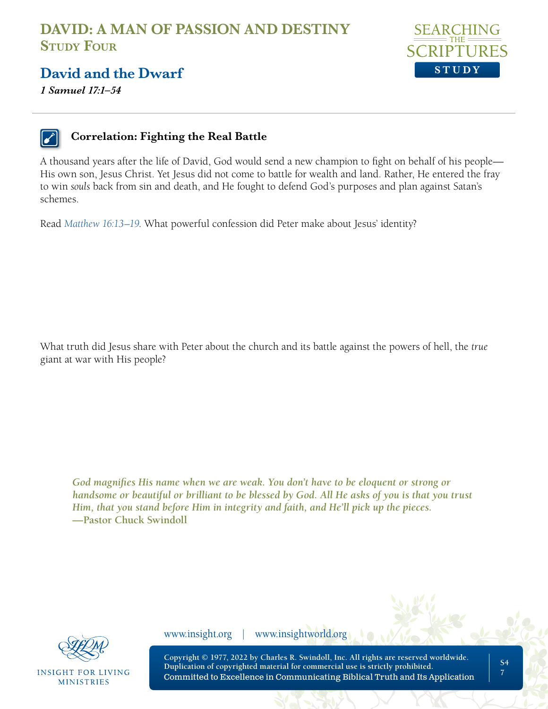

### **David and the Dwarf**

*1 Samuel 17:1–54*



#### **Correlation: Fighting the Real Battle**

A thousand years after the life of David, God would send a new champion to fight on behalf of his people— His own son, Jesus Christ. Yet Jesus did not come to battle for wealth and land. Rather, He entered the fray to win *souls* back from sin and death, and He fought to defend God's purposes and plan against Satan's schemes.

Read *[Matthew 16:13–19](https://www.biblegateway.com/passage/?search=Matthew+16%3A13%E2%80%9319&version=NLT;NASB1995)*. What powerful confession did Peter make about Jesus' identity?

What truth did Jesus share with Peter about the church and its battle against the powers of hell, the *true* giant at war with His people?

*God magnifies His name when we are weak. You don't have to be eloquent or strong or handsome or beautiful or brilliant to be blessed by God. All He asks of you is that you trust Him, that you stand before Him in integrity and faith, and He'll pick up the pieces.*  **—Pastor Chuck Swindoll**



INSIGHT FOR LIVING **MINISTRIES** 

www.insight.org | www.insightworld.org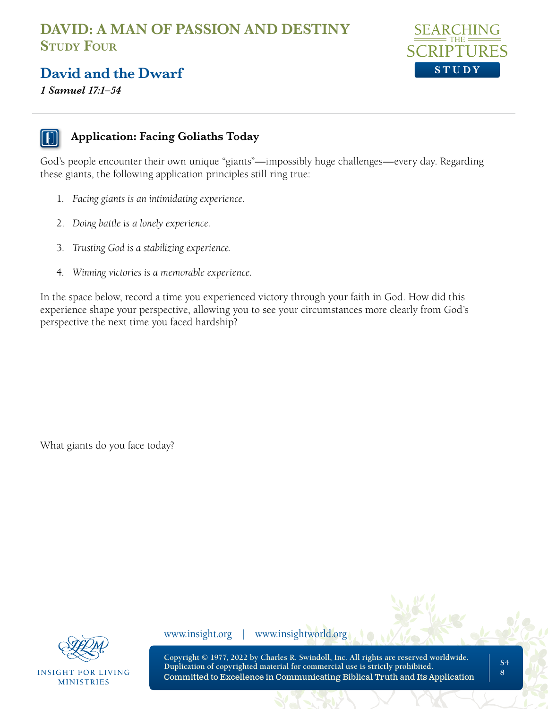

### **David and the Dwarf**

*1 Samuel 17:1–54*



#### **Application: Facing Goliaths Today**

God's people encounter their own unique "giants"—impossibly huge challenges—every day. Regarding these giants, the following application principles still ring true:

- 1. *Facing giants is an intimidating experience.*
- 2. *Doing battle is a lonely experience.*
- 3. *Trusting God is a stabilizing experience.*
- 4. *Winning victories is a memorable experience.*

In the space below, record a time you experienced victory through your faith in God. How did this experience shape your perspective, allowing you to see your circumstances more clearly from God's perspective the next time you faced hardship?

What giants do you face today?



**INSIGHT FOR LIVING MINISTRIES** 

www.insight.org | www.insightworld.org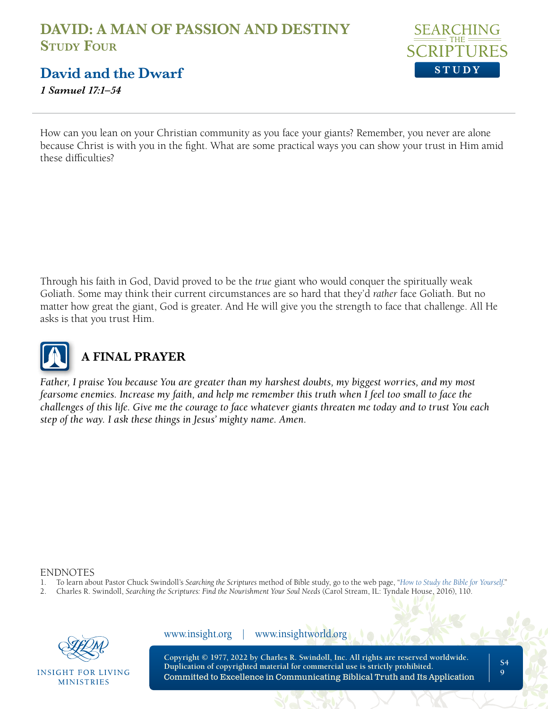

**David and the Dwarf**

*1 Samuel 17:1–54*

How can you lean on your Christian community as you face your giants? Remember, you never are alone because Christ is with you in the fight. What are some practical ways you can show your trust in Him amid these difficulties?

Through his faith in God, David proved to be the *true* giant who would conquer the spiritually weak Goliath. Some may think their current circumstances are so hard that they'd *rather* face Goliath. But no matter how great the giant, God is greater. And He will give you the strength to face that challenge. All He asks is that you trust Him.



# **A FINAL PRAYER**

*Father, I praise You because You are greater than my harshest doubts, my biggest worries, and my most fearsome enemies. Increase my faith, and help me remember this truth when I feel too small to face the challenges of this life. Give me the courage to face whatever giants threaten me today and to trust You each step of the way. I ask these things in Jesus' mighty name. Amen.*

#### ENDNOTES

- 1. To learn about Pastor Chuck Swindoll's *Searching the Scriptures* method of Bible study, go to the web page, "*[How to Study the Bible for Yourself](https://sts.insight.org/)*."
- 2. Charles R. Swindoll, *Searching the Scriptures: Find the Nourishment Your Soul Needs* (Carol Stream, IL: Tyndale House, 2016), 110.



INSIGHT FOR LIVING **MINISTRIES** 

www.insight.org | www.insightworld.org